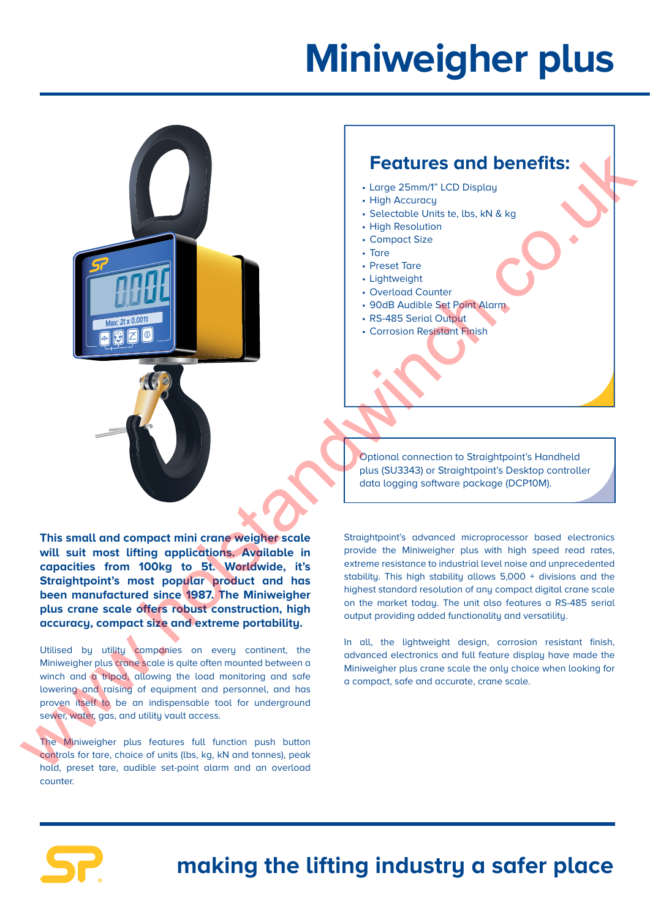## **Miniweigher plus**

## **Features and benefits:**

- Large 25mm/1" LCD Display
- High Accuracy
- Selectable Units te, lbs, kN & kg
- High Resolution
- Compact Size
- Tare
- Preset Tare
- Lightweight
- Overload Counter
- 90dB Audible Set Point Alarm
- RS-485 Serial Output
- Corrosion Resistant Finish

Optional connection to Straightpoint's Handheld plus (SU3343) or Straightpoint's Desktop controller data logging software package (DCP10M).

**This small and compact mini crane weigher scale will suit most lifting applications. Available in capacities from 100kg to 5t. Worldwide, it's Straightpoint's most popular product and has been manufactured since 1987. The Miniweigher plus crane scale offers robust construction, high accuracy, compact size and extreme portability.** Features and benefits:<br>  $\frac{1}{100}$   $\frac{1}{100}$   $\frac{1}{100}$   $\frac{1}{100}$   $\frac{1}{100}$   $\frac{1}{100}$   $\frac{1}{100}$   $\frac{1}{100}$   $\frac{1}{100}$   $\frac{1}{100}$   $\frac{1}{100}$   $\frac{1}{100}$   $\frac{1}{100}$   $\frac{1}{100}$   $\frac{1}{100}$   $\frac{1}{100}$   $\frac{1$ 

Utilised by utility companies on every continent, the Miniweigher plus crane scale is quite often mounted between a winch and a tripod, allowing the load monitoring and safe lowering and raising of equipment and personnel, and has proven itself to be an indispensable tool for underground sewer, water, gas, and utility vault access.

The Miniweigher plus features full function push button controls for tare, choice of units (lbs, kg, kN and tonnes), peak hold, preset tare, audible set-point alarm and an overload counter.

Straightpoint's advanced microprocessor based electronics provide the Miniweigher plus with high speed read rates, extreme resistance to industrial level noise and unprecedented stability. This high stability allows 5,000 + divisions and the highest standard resolution of any compact digital crane scale on the market today. The unit also features a RS-485 serial output providing added functionality and versatility.

In all, the lightweight design, corrosion resistant finish, advanced electronics and full feature display have made the Miniweigher plus crane scale the only choice when looking for a compact, safe and accurate, crane scale.